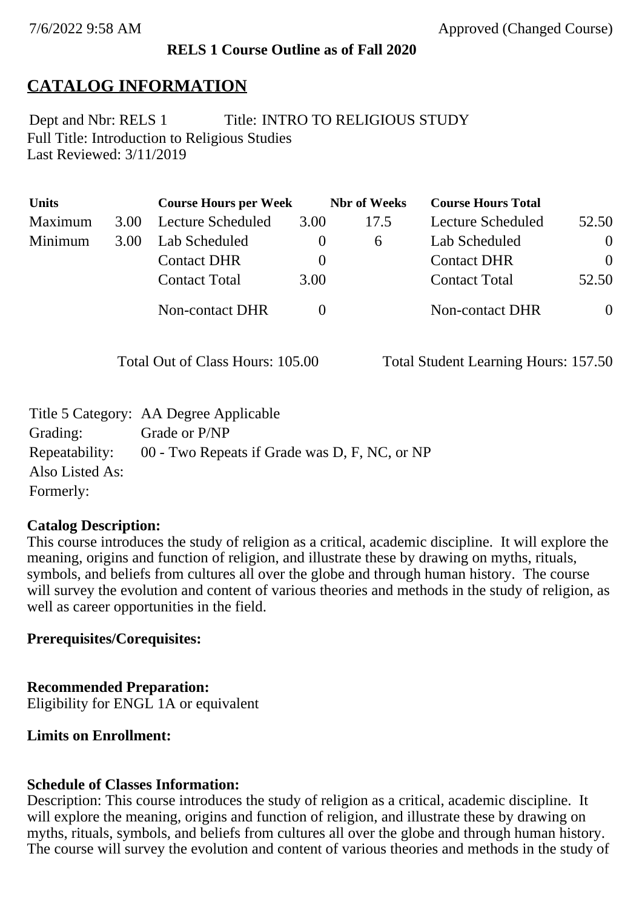## **RELS 1 Course Outline as of Fall 2020**

# **CATALOG INFORMATION**

Full Title: Introduction to Religious Studies Last Reviewed: 3/11/2019 Dept and Nbr: RELS 1 Title: INTRO TO RELIGIOUS STUDY

| <b>Units</b> |      | <b>Course Hours per Week</b> |          | <b>Nbr</b> of Weeks | <b>Course Hours Total</b> |          |
|--------------|------|------------------------------|----------|---------------------|---------------------------|----------|
| Maximum      | 3.00 | Lecture Scheduled            | 3.00     | 17.5                | Lecture Scheduled         | 52.50    |
| Minimum      | 3.00 | Lab Scheduled                | O        | $\sigma$            | Lab Scheduled             | $\theta$ |
|              |      | <b>Contact DHR</b>           | $\theta$ |                     | <b>Contact DHR</b>        | $\Omega$ |
|              |      | <b>Contact Total</b>         | 3.00     |                     | <b>Contact Total</b>      | 52.50    |
|              |      | Non-contact DHR              |          |                     | <b>Non-contact DHR</b>    | $\theta$ |

Total Out of Class Hours: 105.00 Total Student Learning Hours: 157.50

|                 | Title 5 Category: AA Degree Applicable        |
|-----------------|-----------------------------------------------|
| Grading:        | Grade or P/NP                                 |
| Repeatability:  | 00 - Two Repeats if Grade was D, F, NC, or NP |
| Also Listed As: |                                               |
| Formerly:       |                                               |

## **Catalog Description:**

This course introduces the study of religion as a critical, academic discipline. It will explore the meaning, origins and function of religion, and illustrate these by drawing on myths, rituals, symbols, and beliefs from cultures all over the globe and through human history. The course will survey the evolution and content of various theories and methods in the study of religion, as well as career opportunities in the field.

## **Prerequisites/Corequisites:**

## **Recommended Preparation:**

Eligibility for ENGL 1A or equivalent

## **Limits on Enrollment:**

## **Schedule of Classes Information:**

Description: This course introduces the study of religion as a critical, academic discipline. It will explore the meaning, origins and function of religion, and illustrate these by drawing on myths, rituals, symbols, and beliefs from cultures all over the globe and through human history. The course will survey the evolution and content of various theories and methods in the study of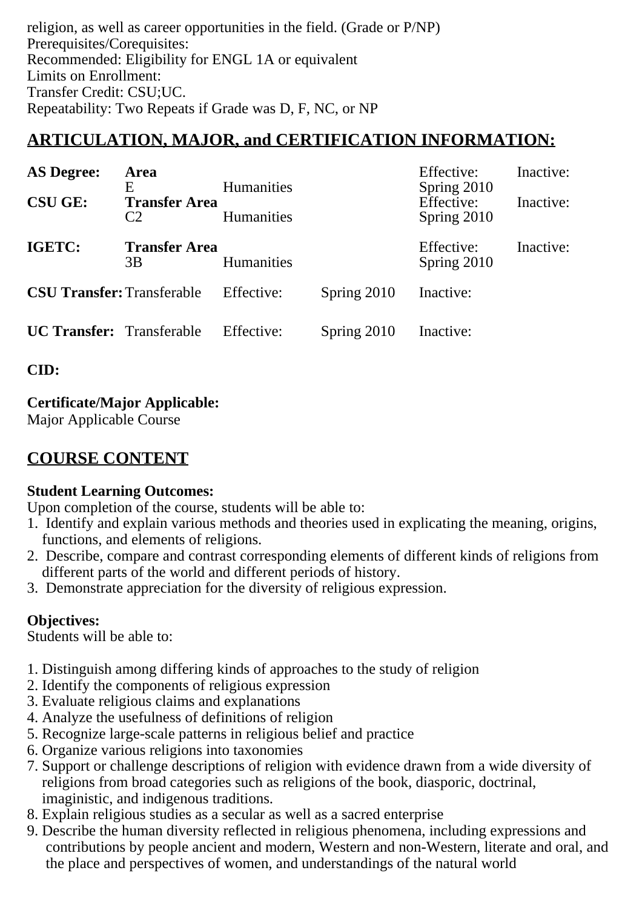religion, as well as career opportunities in the field. (Grade or P/NP) Prerequisites/Corequisites: Recommended: Eligibility for ENGL 1A or equivalent Limits on Enrollment: Transfer Credit: CSU;UC. Repeatability: Two Repeats if Grade was D, F, NC, or NP

# **ARTICULATION, MAJOR, and CERTIFICATION INFORMATION:**

| <b>AS Degree:</b>                 | Area<br>E                  | <b>Humanities</b> |             | Effective:<br>Spring 2010 | Inactive: |
|-----------------------------------|----------------------------|-------------------|-------------|---------------------------|-----------|
| <b>CSU GE:</b>                    | <b>Transfer Area</b><br>C2 | <b>Humanities</b> |             | Effective:<br>Spring 2010 | Inactive: |
| IGETC:                            | <b>Transfer Area</b><br>3B | <b>Humanities</b> |             | Effective:<br>Spring 2010 | Inactive: |
| <b>CSU Transfer: Transferable</b> |                            | Effective:        | Spring 2010 | Inactive:                 |           |
| <b>UC Transfer:</b> Transferable  |                            | Effective:        | Spring 2010 | Inactive:                 |           |

**CID:**

# **Certificate/Major Applicable:**

[Major Applicable Course](SR_ClassCheck.aspx?CourseKey=RELS1)

# **COURSE CONTENT**

# **Student Learning Outcomes:**

Upon completion of the course, students will be able to:

- 1. Identify and explain various methods and theories used in explicating the meaning, origins, functions, and elements of religions.
- 2. Describe, compare and contrast corresponding elements of different kinds of religions from different parts of the world and different periods of history.
- 3. Demonstrate appreciation for the diversity of religious expression.

# **Objectives:**

Students will be able to:

- 1. Distinguish among differing kinds of approaches to the study of religion
- 2. Identify the components of religious expression
- 3. Evaluate religious claims and explanations
- 4. Analyze the usefulness of definitions of religion
- 5. Recognize large-scale patterns in religious belief and practice
- 6. Organize various religions into taxonomies
- 7. Support or challenge descriptions of religion with evidence drawn from a wide diversity of religions from broad categories such as religions of the book, diasporic, doctrinal, imaginistic, and indigenous traditions.
- 8. Explain religious studies as a secular as well as a sacred enterprise
- 9. Describe the human diversity reflected in religious phenomena, including expressions and contributions by people ancient and modern, Western and non-Western, literate and oral, and the place and perspectives of women, and understandings of the natural world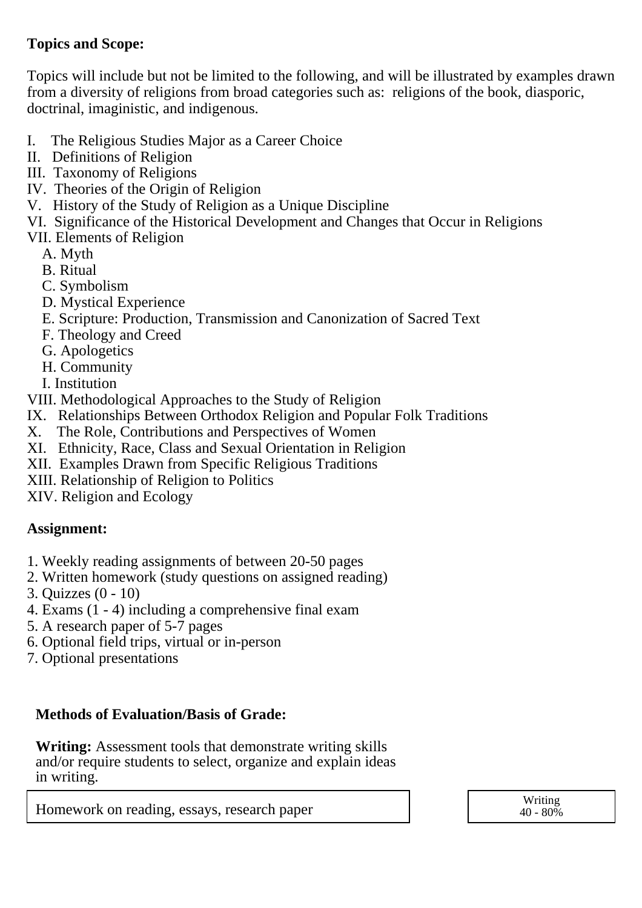# **Topics and Scope:**

Topics will include but not be limited to the following, and will be illustrated by examples drawn from a diversity of religions from broad categories such as: religions of the book, diasporic, doctrinal, imaginistic, and indigenous.

- I. The Religious Studies Major as a Career Choice
- II. Definitions of Religion
- III. Taxonomy of Religions
- IV. Theories of the Origin of Religion
- V. History of the Study of Religion as a Unique Discipline
- VI. Significance of the Historical Development and Changes that Occur in Religions
- VII. Elements of Religion
	- A. Myth
	- B. Ritual
	- C. Symbolism
	- D. Mystical Experience
	- E. Scripture: Production, Transmission and Canonization of Sacred Text
	- F. Theology and Creed
	- G. Apologetics
	- H. Community
	- I. Institution
- VIII. Methodological Approaches to the Study of Religion
- IX. Relationships Between Orthodox Religion and Popular Folk Traditions
- X. The Role, Contributions and Perspectives of Women
- XI. Ethnicity, Race, Class and Sexual Orientation in Religion
- XII. Examples Drawn from Specific Religious Traditions
- XIII. Relationship of Religion to Politics
- XIV. Religion and Ecology

# **Assignment:**

- 1. Weekly reading assignments of between 20-50 pages
- 2. Written homework (study questions on assigned reading)
- 3. Quizzes (0 10)
- 4. Exams  $(1 4)$  including a comprehensive final exam
- 5. A research paper of 5-7 pages
- 6. Optional field trips, virtual or in-person
- 7. Optional presentations

# **Methods of Evaluation/Basis of Grade:**

**Writing:** Assessment tools that demonstrate writing skills and/or require students to select, organize and explain ideas in writing.

Homework on reading, essays, research paper  $\vert$   $\vert$  Writing  $\vert$  Writing  $\vert$  40 - 80%

 $40 - 80\%$